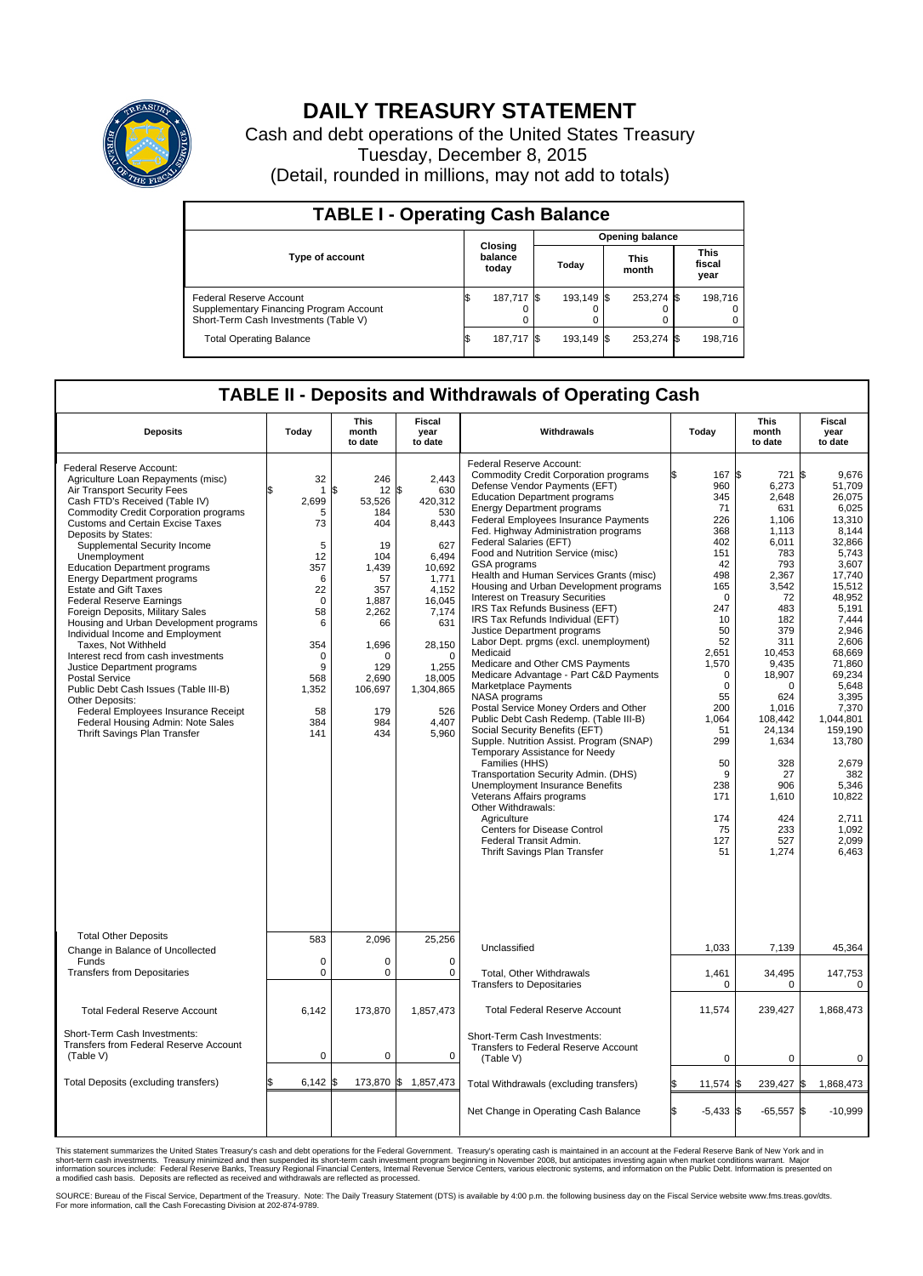

## **DAILY TREASURY STATEMENT**

Cash and debt operations of the United States Treasury Tuesday, December 8, 2015 (Detail, rounded in millions, may not add to totals)

| <b>TABLE I - Operating Cash Balance</b>                                                                     |  |                             |  |                 |  |                      |  |                               |  |
|-------------------------------------------------------------------------------------------------------------|--|-----------------------------|--|-----------------|--|----------------------|--|-------------------------------|--|
|                                                                                                             |  |                             |  | Opening balance |  |                      |  |                               |  |
| <b>Type of account</b>                                                                                      |  | Closing<br>balance<br>today |  | Today           |  | <b>This</b><br>month |  | <b>This</b><br>fiscal<br>year |  |
| Federal Reserve Account<br>Supplementary Financing Program Account<br>Short-Term Cash Investments (Table V) |  | 187,717 \$                  |  | 193,149 \$      |  | 253,274 \$           |  | 198,716                       |  |
| <b>Total Operating Balance</b>                                                                              |  | 187,717 \$                  |  | 193.149 \$      |  | 253,274 \$           |  | 198,716                       |  |

## **TABLE II - Deposits and Withdrawals of Operating Cash**

| <b>Deposits</b>                                                                                                                                                                                                                                                                                                                                                                                                                                                                                                                                                                                                                                                                                                                                                                                                                                            | Today                                                                                                                                             | <b>This</b><br>month<br>to date                                                                                                                                  | <b>Fiscal</b><br>year<br>to date                                                                                                                                                                   | Withdrawals                                                                                                                                                                                                                                                                                                                                                                                                                                                                                                                                                                                                                                                                                                                                                                                                                                                                                                                                                                                                                                                                                                                                                                                                                                    | Today                                                                                                                                                                                                                                                      | <b>This</b><br>month<br>to date                                                                                                                                                                                                                                      | <b>Fiscal</b><br>year<br>to date                                                                                                                                                                                                                                                                                             |  |
|------------------------------------------------------------------------------------------------------------------------------------------------------------------------------------------------------------------------------------------------------------------------------------------------------------------------------------------------------------------------------------------------------------------------------------------------------------------------------------------------------------------------------------------------------------------------------------------------------------------------------------------------------------------------------------------------------------------------------------------------------------------------------------------------------------------------------------------------------------|---------------------------------------------------------------------------------------------------------------------------------------------------|------------------------------------------------------------------------------------------------------------------------------------------------------------------|----------------------------------------------------------------------------------------------------------------------------------------------------------------------------------------------------|------------------------------------------------------------------------------------------------------------------------------------------------------------------------------------------------------------------------------------------------------------------------------------------------------------------------------------------------------------------------------------------------------------------------------------------------------------------------------------------------------------------------------------------------------------------------------------------------------------------------------------------------------------------------------------------------------------------------------------------------------------------------------------------------------------------------------------------------------------------------------------------------------------------------------------------------------------------------------------------------------------------------------------------------------------------------------------------------------------------------------------------------------------------------------------------------------------------------------------------------|------------------------------------------------------------------------------------------------------------------------------------------------------------------------------------------------------------------------------------------------------------|----------------------------------------------------------------------------------------------------------------------------------------------------------------------------------------------------------------------------------------------------------------------|------------------------------------------------------------------------------------------------------------------------------------------------------------------------------------------------------------------------------------------------------------------------------------------------------------------------------|--|
| Federal Reserve Account:<br>Agriculture Loan Repayments (misc)<br>Air Transport Security Fees<br>Cash FTD's Received (Table IV)<br><b>Commodity Credit Corporation programs</b><br><b>Customs and Certain Excise Taxes</b><br>Deposits by States:<br>Supplemental Security Income<br>Unemployment<br><b>Education Department programs</b><br><b>Energy Department programs</b><br><b>Estate and Gift Taxes</b><br><b>Federal Reserve Earnings</b><br>Foreign Deposits, Military Sales<br>Housing and Urban Development programs<br>Individual Income and Employment<br>Taxes. Not Withheld<br>Interest recd from cash investments<br>Justice Department programs<br>Postal Service<br>Public Debt Cash Issues (Table III-B)<br>Other Deposits:<br>Federal Employees Insurance Receipt<br>Federal Housing Admin: Note Sales<br>Thrift Savings Plan Transfer | 32<br>1<br>2,699<br>5<br>73<br>5<br>12<br>357<br>6<br>22<br>$\mathbf 0$<br>58<br>6<br>354<br>$\mathbf 0$<br>9<br>568<br>1,352<br>58<br>384<br>141 | 246<br>\$<br>12<br>53,526<br>184<br>404<br>19<br>104<br>1,439<br>57<br>357<br>1,887<br>2,262<br>66<br>1,696<br>n<br>129<br>2,690<br>106,697<br>179<br>984<br>434 | 2.443<br>\$<br>630<br>420,312<br>530<br>8,443<br>627<br>6.494<br>10,692<br>1.771<br>4,152<br>16,045<br>7,174<br>631<br>28,150<br>$\Omega$<br>1,255<br>18,005<br>1,304,865<br>526<br>4.407<br>5,960 | Federal Reserve Account:<br><b>Commodity Credit Corporation programs</b><br>Defense Vendor Payments (EFT)<br><b>Education Department programs</b><br><b>Energy Department programs</b><br><b>Federal Employees Insurance Payments</b><br>Fed. Highway Administration programs<br>Federal Salaries (EFT)<br>Food and Nutrition Service (misc)<br><b>GSA</b> programs<br>Health and Human Services Grants (misc)<br>Housing and Urban Development programs<br>Interest on Treasury Securities<br>IRS Tax Refunds Business (EFT)<br>IRS Tax Refunds Individual (EFT)<br>Justice Department programs<br>Labor Dept. prgms (excl. unemployment)<br>Medicaid<br>Medicare and Other CMS Payments<br>Medicare Advantage - Part C&D Payments<br>Marketplace Payments<br>NASA programs<br>Postal Service Money Orders and Other<br>Public Debt Cash Redemp. (Table III-B)<br>Social Security Benefits (EFT)<br>Supple. Nutrition Assist. Program (SNAP)<br>Temporary Assistance for Needy<br>Families (HHS)<br>Transportation Security Admin. (DHS)<br>Unemployment Insurance Benefits<br>Veterans Affairs programs<br>Other Withdrawals:<br>Agriculture<br><b>Centers for Disease Control</b><br>Federal Transit Admin.<br>Thrift Savings Plan Transfer | 167 \$<br>ß<br>960<br>345<br>71<br>226<br>368<br>402<br>151<br>42<br>498<br>165<br>$\Omega$<br>247<br>10<br>50<br>52<br>2,651<br>1,570<br>$\mathbf 0$<br>$\mathbf 0$<br>55<br>200<br>1,064<br>51<br>299<br>50<br>9<br>238<br>171<br>174<br>75<br>127<br>51 | 721<br>6,273<br>2,648<br>631<br>1,106<br>1,113<br>6,011<br>783<br>793<br>2,367<br>3,542<br>72<br>483<br>182<br>379<br>311<br>10,453<br>9,435<br>18,907<br>0<br>624<br>1,016<br>108,442<br>24.134<br>1,634<br>328<br>27<br>906<br>1,610<br>424<br>233<br>527<br>1,274 | l\$<br>9,676<br>51,709<br>26,075<br>6,025<br>13,310<br>8.144<br>32,866<br>5,743<br>3.607<br>17,740<br>15,512<br>48,952<br>5.191<br>7,444<br>2.946<br>2,606<br>68.669<br>71,860<br>69,234<br>5,648<br>3,395<br>7,370<br>1,044,801<br>159.190<br>13,780<br>2,679<br>382<br>5,346<br>10,822<br>2,711<br>1.092<br>2,099<br>6,463 |  |
| <b>Total Other Deposits</b><br>Change in Balance of Uncollected                                                                                                                                                                                                                                                                                                                                                                                                                                                                                                                                                                                                                                                                                                                                                                                            | 583                                                                                                                                               | 2.096                                                                                                                                                            | 25,256                                                                                                                                                                                             | Unclassified                                                                                                                                                                                                                                                                                                                                                                                                                                                                                                                                                                                                                                                                                                                                                                                                                                                                                                                                                                                                                                                                                                                                                                                                                                   | 1,033                                                                                                                                                                                                                                                      | 7,139                                                                                                                                                                                                                                                                | 45,364                                                                                                                                                                                                                                                                                                                       |  |
| Funds<br><b>Transfers from Depositaries</b>                                                                                                                                                                                                                                                                                                                                                                                                                                                                                                                                                                                                                                                                                                                                                                                                                | $\mathbf 0$<br>$\mathbf 0$                                                                                                                        | 0<br>0                                                                                                                                                           | 0<br>$\mathbf 0$                                                                                                                                                                                   | Total, Other Withdrawals<br><b>Transfers to Depositaries</b>                                                                                                                                                                                                                                                                                                                                                                                                                                                                                                                                                                                                                                                                                                                                                                                                                                                                                                                                                                                                                                                                                                                                                                                   | 1,461<br>$\mathbf 0$                                                                                                                                                                                                                                       | 34,495<br>$\mathbf 0$                                                                                                                                                                                                                                                | 147,753<br>0                                                                                                                                                                                                                                                                                                                 |  |
| <b>Total Federal Reserve Account</b>                                                                                                                                                                                                                                                                                                                                                                                                                                                                                                                                                                                                                                                                                                                                                                                                                       | 6,142                                                                                                                                             | 173,870                                                                                                                                                          | 1,857,473                                                                                                                                                                                          | <b>Total Federal Reserve Account</b>                                                                                                                                                                                                                                                                                                                                                                                                                                                                                                                                                                                                                                                                                                                                                                                                                                                                                                                                                                                                                                                                                                                                                                                                           | 11,574                                                                                                                                                                                                                                                     | 239,427                                                                                                                                                                                                                                                              | 1,868,473                                                                                                                                                                                                                                                                                                                    |  |
| Short-Term Cash Investments:<br>Transfers from Federal Reserve Account<br>(Table V)                                                                                                                                                                                                                                                                                                                                                                                                                                                                                                                                                                                                                                                                                                                                                                        | $\pmb{0}$                                                                                                                                         | 0                                                                                                                                                                | 0                                                                                                                                                                                                  | Short-Term Cash Investments:<br>Transfers to Federal Reserve Account<br>(Table V)                                                                                                                                                                                                                                                                                                                                                                                                                                                                                                                                                                                                                                                                                                                                                                                                                                                                                                                                                                                                                                                                                                                                                              | 0                                                                                                                                                                                                                                                          | 0                                                                                                                                                                                                                                                                    | 0                                                                                                                                                                                                                                                                                                                            |  |
| Total Deposits (excluding transfers)                                                                                                                                                                                                                                                                                                                                                                                                                                                                                                                                                                                                                                                                                                                                                                                                                       | 6,142<br>\$                                                                                                                                       | 1\$                                                                                                                                                              | 173,870 \$ 1,857,473                                                                                                                                                                               | Total Withdrawals (excluding transfers)                                                                                                                                                                                                                                                                                                                                                                                                                                                                                                                                                                                                                                                                                                                                                                                                                                                                                                                                                                                                                                                                                                                                                                                                        | $11,574$ \$                                                                                                                                                                                                                                                | 239,427 \$                                                                                                                                                                                                                                                           | 1,868,473                                                                                                                                                                                                                                                                                                                    |  |
|                                                                                                                                                                                                                                                                                                                                                                                                                                                                                                                                                                                                                                                                                                                                                                                                                                                            |                                                                                                                                                   |                                                                                                                                                                  |                                                                                                                                                                                                    | Net Change in Operating Cash Balance                                                                                                                                                                                                                                                                                                                                                                                                                                                                                                                                                                                                                                                                                                                                                                                                                                                                                                                                                                                                                                                                                                                                                                                                           | $-5,433$ \$                                                                                                                                                                                                                                                | $-65,557$ \$                                                                                                                                                                                                                                                         | $-10,999$                                                                                                                                                                                                                                                                                                                    |  |

This statement summarizes the United States Treasury's cash and debt operations for the Federal Government. Treasury's operating cash is maintained in an account at the Federal Reserve Bank of New York and in<br>short-term ca

SOURCE: Bureau of the Fiscal Service, Department of the Treasury. Note: The Daily Treasury Statement (DTS) is available by 4:00 p.m. the following business day on the Fiscal Service website www.fms.treas.gov/dts.<br>For more